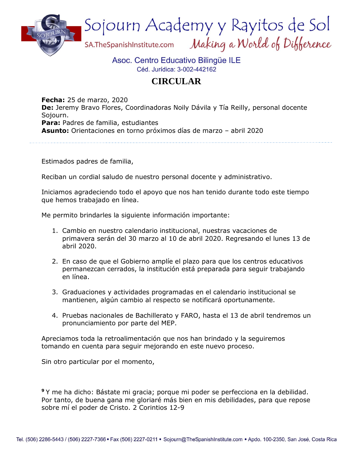

## Asoc. Centro Educativo Bilingüe ILE Céd. Jurídica: 3-002-442162

## **CIRCULAR**

**Fecha:** 25 de marzo, 2020 **De:** Jeremy Bravo Flores, Coordinadoras Noily Dávila y Tía Reilly, personal docente Sojourn. **Para:** Padres de familia, estudiantes **Asunto:** Orientaciones en torno próximos días de marzo – abril 2020

Estimados padres de familia,

Reciban un cordial saludo de nuestro personal docente y administrativo.

Iniciamos agradeciendo todo el apoyo que nos han tenido durante todo este tiempo que hemos trabajado en línea.

Me permito brindarles la siguiente información importante:

- 1. Cambio en nuestro calendario institucional, nuestras vacaciones de primavera serán del 30 marzo al 10 de abril 2020. Regresando el lunes 13 de abril 2020.
- 2. En caso de que el Gobierno amplíe el plazo para que los centros educativos permanezcan cerrados, la institución está preparada para seguir trabajando en línea.
- 3. Graduaciones y actividades programadas en el calendario institucional se mantienen, algún cambio al respecto se notificará oportunamente.
- 4. Pruebas nacionales de Bachillerato y FARO, hasta el 13 de abril tendremos un pronunciamiento por parte del MEP.

Apreciamos toda la retroalimentación que nos han brindado y la seguiremos tomando en cuenta para seguir mejorando en este nuevo proceso.

Sin otro particular por el momento,

**<sup>9</sup>** Y me ha dicho: Bástate mi gracia; porque mi poder se perfecciona en la debilidad. Por tanto, de buena gana me gloriaré más bien en mis debilidades, para que repose sobre mí el poder de Cristo. 2 Corintios 12-9